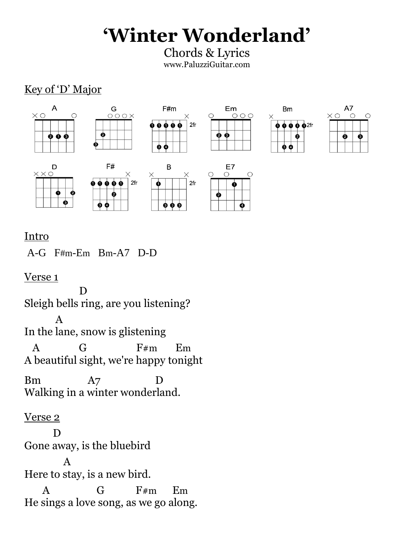# **'Winter Wonderland'**

Chords & Lyrics www.PaluzziGuitar.com

## Key of 'D' Major



Ó



G



X  $2fr$ 

F#m

. . . . .

0 O

 $\times$ 



Em

0 O

 $\circ$   $\circ$ 





## Intro

 $\times\times$ 

A-G F#m-Em Bm-A7 D-D

ø

#### Verse 1

D Sleigh bells ring, are you listening? A In the lane, snow is glistening A G F#m Em A beautiful sight, we're happy tonight Bm  $A7$  D Walking in a winter wonderland. Verse 2 D Gone away, is the bluebird A Here to stay, is a new bird. A G F#m Em He sings a love song, as we go along.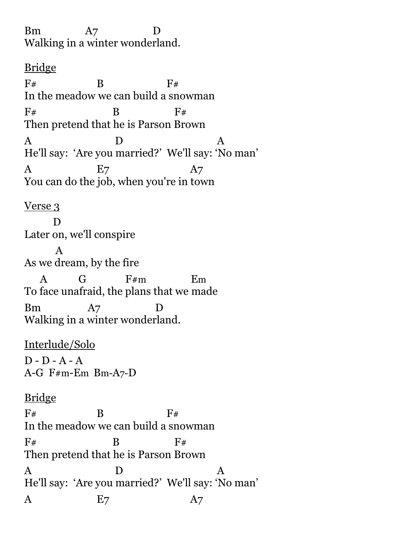Bm A7 D Walking in a winter wonderland. Bridge  $F#$  B F# In the meadow we can build a snowman  $F#$  B  $F#$ Then pretend that he is Parson Brown A D A He'll say: 'Are you married?' We'll say: 'No man'  $A$  E7  $A7$ You can do the job, when you're in town Verse 3 D Later on, we'll conspire A As we dream, by the fire A G F#m Em To face unafraid, the plans that we made Bm A7 D Walking in a winter wonderland. Interlude/Solo D - D - A - A A-G F#m-Em Bm-A7-D Bridge  $F#$  B F# In the meadow we can build a snowman  $F#$  B  $F#$ Then pretend that he is Parson Brown A D A He'll say: 'Are you married?' We'll say: 'No man'  $A$  E7  $A7$